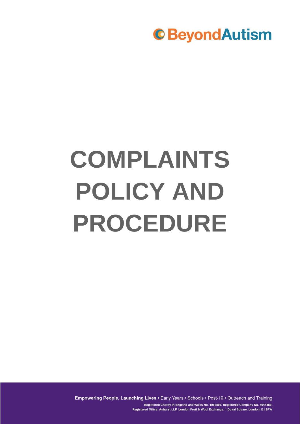

# **COMPLAINTS POLICY AND PROCEDURE**

Empowering People, Launching Lives . Early Years . Schools . Post-19 . Outreach and Training Registered Charity in England and Wales No. 1082599. Registered Company No. 4041459. Registered Office: Ashurst LLP, London Fruit & Wool Exchange, 1 Duval Square, London, E1 6PW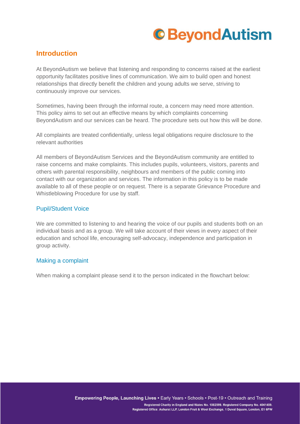

### **Introduction**

At BeyondAutism we believe that listening and responding to concerns raised at the earliest opportunity facilitates positive lines of communication. We aim to build open and honest relationships that directly benefit the children and young adults we serve, striving to continuously improve our services.

Sometimes, having been through the informal route, a concern may need more attention. This policy aims to set out an effective means by which complaints concerning BeyondAutism and our services can be heard. The procedure sets out how this will be done.

All complaints are treated confidentially, unless legal obligations require disclosure to the relevant authorities

All members of BeyondAutism Services and the BeyondAutism community are entitled to raise concerns and make complaints. This includes pupils, volunteers, visitors, parents and others with parental responsibility, neighbours and members of the public coming into contact with our organization and services. The information in this policy is to be made available to all of these people or on request. There is a separate Grievance Procedure and Whistleblowing Procedure for use by staff.

### Pupil/Student Voice

We are committed to listening to and hearing the voice of our pupils and students both on an individual basis and as a group. We will take account of their views in every aspect of their education and school life, encouraging self-advocacy, independence and participation in group activity.

### Making a complaint

When making a complaint please send it to the person indicated in the flowchart below: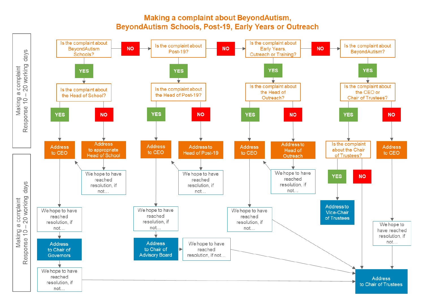### Making a complaint about BeyondAutism. BeyondAutism Schools, Post-19, Early Years or Outreach

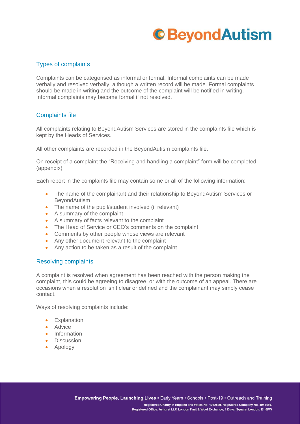## **C**BeyondAutism

### Types of complaints

Complaints can be categorised as informal or formal. Informal complaints can be made verbally and resolved verbally, although a written record will be made. Formal complaints should be made in writing and the outcome of the complaint will be notified in writing. Informal complaints may become formal if not resolved.

### Complaints file

All complaints relating to BeyondAutism Services are stored in the complaints file which is kept by the Heads of Services.

All other complaints are recorded in the BeyondAutism complaints file.

On receipt of a complaint the "Receiving and handling a complaint" form will be completed (appendix)

Each report in the complaints file may contain some or all of the following information:

- The name of the complainant and their relationship to BeyondAutism Services or BeyondAutism
- The name of the pupil/student involved (if relevant)
- A summary of the complaint
- A summary of facts relevant to the complaint
- The Head of Service or CEO's comments on the complaint
- Comments by other people whose views are relevant
- Any other document relevant to the complaint
- Any action to be taken as a result of the complaint

### Resolving complaints

A complaint is resolved when agreement has been reached with the person making the complaint, this could be agreeing to disagree, or with the outcome of an appeal. There are occasions when a resolution isn't clear or defined and the complainant may simply cease contact.

Ways of resolving complaints include:

- Explanation
- Advice
- Information
- Discussion
- Apology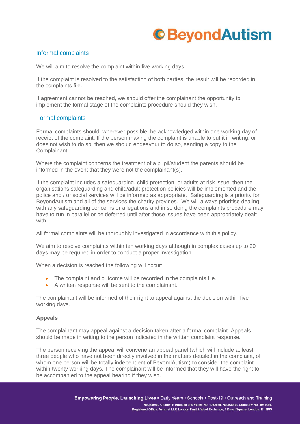## **C**BeyondAutism

### Informal complaints

We will aim to resolve the complaint within five working days.

If the complaint is resolved to the satisfaction of both parties, the result will be recorded in the complaints file.

If agreement cannot be reached, we should offer the complainant the opportunity to implement the formal stage of the complaints procedure should they wish.

### Formal complaints

Formal complaints should, wherever possible, be acknowledged within one working day of receipt of the complaint. If the person making the complaint is unable to put it in writing, or does not wish to do so, then we should endeavour to do so, sending a copy to the Complainant.

Where the complaint concerns the treatment of a pupil/student the parents should be informed in the event that they were not the complainant(s).

If the complaint includes a safeguarding, child protection, or adults at risk issue, then the organisations safeguarding and child/adult protection policies will be implemented and the police and / or social services will be informed as appropriate. Safeguarding is a priority for BeyondAutism and all of the services the charity provides. We will always prioritise dealing with any safeguarding concerns or allegations and in so doing the complaints procedure may have to run in parallel or be deferred until after those issues have been appropriately dealt with.

All formal complaints will be thoroughly investigated in accordance with this policy.

We aim to resolve complaints within ten working days although in complex cases up to 20 days may be required in order to conduct a proper investigation

When a decision is reached the following will occur:

- The complaint and outcome will be recorded in the complaints file.
- A written response will be sent to the complainant.

The complainant will be informed of their right to appeal against the decision within five working days.

### **Appeals**

The complainant may appeal against a decision taken after a formal complaint. Appeals should be made in writing to the person indicated in the written complaint response.

The person receiving the appeal will convene an appeal panel (which will include at least three people who have not been directly involved in the matters detailed in the complaint, of whom one person will be totally independent of BeyondAutism) to consider the complaint within twenty working days. The complainant will be informed that they will have the right to be accompanied to the appeal hearing if they wish.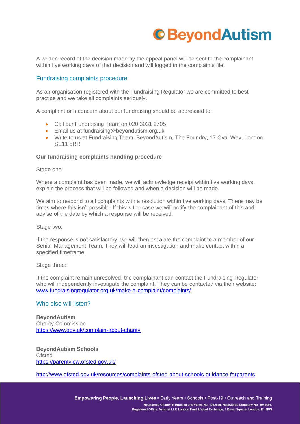

A written record of the decision made by the appeal panel will be sent to the complainant within five working days of that decision and will logged in the complaints file.

### Fundraising complaints procedure

As an organisation registered with the Fundraising Regulator we are committed to best practice and we take all complaints seriously.

A complaint or a concern about our fundraising should be addressed to:

- Call our Fundraising Team on 020 3031 9705
- Email us at fundraising@beyondutism.org.uk
- Write to us at Fundraising Team, BeyondAutism, The Foundry, 17 Oval Way, London SE11 5RR

#### **Our fundraising complaints handling procedure**

Stage one:

Where a complaint has been made, we will acknowledge receipt within five working days, explain the process that will be followed and when a decision will be made.

We aim to respond to all complaints with a resolution within five working days. There may be times where this isn't possible. If this is the case we will notify the complainant of this and advise of the date by which a response will be received.

Stage two:

If the response is not satisfactory, we will then escalate the complaint to a member of our Senior Management Team. They will lead an investigation and make contact within a specified timeframe.

#### Stage three:

If the complaint remain unresolved, the complainant can contact the Fundraising Regulator who will independently investigate the complaint. They can be contacted via their website: [www.fundraisingregulator.org.uk/make-a-complaint/complaints/.](http://www.fundraisingregulator.org.uk/make-a-complaint/complaints/)

#### Who else will listen?

**BeyondAutism** Charity Commission <https://www.gov.uk/complain-about-charity>

**BeyondAutism Schools Ofsted** <https://parentview.ofsted.gov.uk/>

<http://www.ofsted.gov.uk/resources/complaints-ofsted-about-schools-guidance-forparents>

Empowering People, Launching Lives . Early Years . Schools . Post-19 . Outreach and Training Registered Charity in England and Wales No. 1082599, Registered Company No. 4041459. Registered Office: Ashurst LLP, London Fruit & Wool Exchange, 1 Duval Square, London, E1 6PW